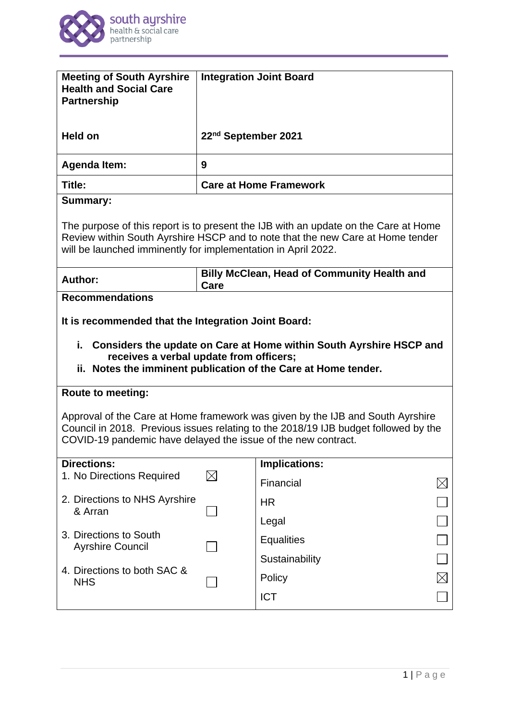

| <b>Meeting of South Ayrshire</b><br><b>Health and Social Care</b><br><b>Partnership</b>                                                                                                                                                    |                                                            | <b>Integration Joint Board</b> |  |
|--------------------------------------------------------------------------------------------------------------------------------------------------------------------------------------------------------------------------------------------|------------------------------------------------------------|--------------------------------|--|
| <b>Held on</b>                                                                                                                                                                                                                             | 22 <sup>nd</sup> September 2021                            |                                |  |
| <b>Agenda Item:</b>                                                                                                                                                                                                                        | 9                                                          |                                |  |
| Title:                                                                                                                                                                                                                                     |                                                            | <b>Care at Home Framework</b>  |  |
| <b>Summary:</b>                                                                                                                                                                                                                            |                                                            |                                |  |
| The purpose of this report is to present the IJB with an update on the Care at Home<br>Review within South Ayrshire HSCP and to note that the new Care at Home tender<br>will be launched imminently for implementation in April 2022.     |                                                            |                                |  |
| <b>Author:</b>                                                                                                                                                                                                                             | <b>Billy McClean, Head of Community Health and</b><br>Care |                                |  |
| <b>Recommendations</b>                                                                                                                                                                                                                     |                                                            |                                |  |
| It is recommended that the Integration Joint Board:<br>i. Considers the update on Care at Home within South Ayrshire HSCP and<br>receives a verbal update from officers;<br>ii. Notes the imminent publication of the Care at Home tender. |                                                            |                                |  |
|                                                                                                                                                                                                                                            |                                                            |                                |  |
| <b>Route to meeting:</b>                                                                                                                                                                                                                   |                                                            |                                |  |
| Approval of the Care at Home framework was given by the IJB and South Ayrshire<br>Council in 2018. Previous issues relating to the 2018/19 IJB budget followed by the<br>COVID-19 pandemic have delayed the issue of the new contract.     |                                                            |                                |  |
| <b>Directions:</b>                                                                                                                                                                                                                         |                                                            | Implications:                  |  |
| 1. No Directions Required                                                                                                                                                                                                                  | $\boxtimes$                                                | Financial                      |  |
| 2. Directions to NHS Ayrshire<br>& Arran                                                                                                                                                                                                   |                                                            | <b>HR</b>                      |  |
|                                                                                                                                                                                                                                            |                                                            | Legal                          |  |
| 3. Directions to South<br><b>Ayrshire Council</b><br>4. Directions to both SAC &<br><b>NHS</b>                                                                                                                                             |                                                            | <b>Equalities</b>              |  |
|                                                                                                                                                                                                                                            |                                                            | Sustainability                 |  |
|                                                                                                                                                                                                                                            |                                                            | Policy                         |  |
|                                                                                                                                                                                                                                            |                                                            | <b>ICT</b>                     |  |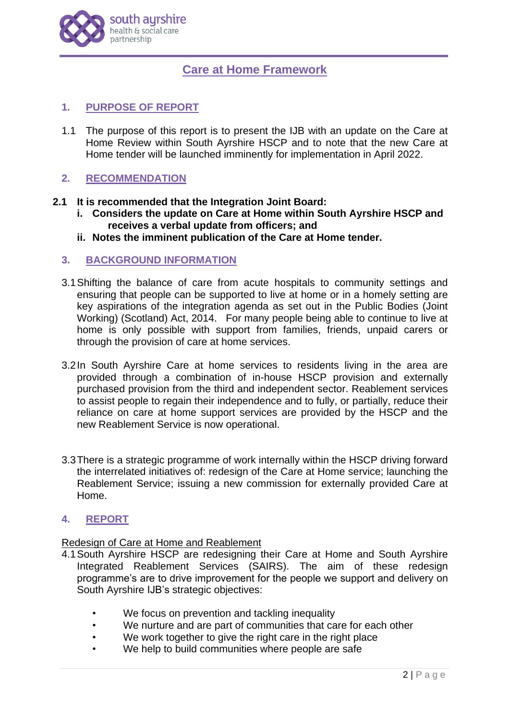

# **Care at Home Framework**

# **1. PURPOSE OF REPORT**

1.1 The purpose of this report is to present the IJB with an update on the Care at Home Review within South Ayrshire HSCP and to note that the new Care at Home tender will be launched imminently for implementation in April 2022.

# **2. RECOMMENDATION**

# **2.1 It is recommended that the Integration Joint Board:**

- **i. Considers the update on Care at Home within South Ayrshire HSCP and receives a verbal update from officers; and**
- **ii. Notes the imminent publication of the Care at Home tender.**

### **3. BACKGROUND INFORMATION**

- 3.1Shifting the balance of care from acute hospitals to community settings and ensuring that people can be supported to live at home or in a homely setting are key aspirations of the integration agenda as set out in the Public Bodies (Joint Working) (Scotland) Act, 2014. For many people being able to continue to live at home is only possible with support from families, friends, unpaid carers or through the provision of care at home services.
- 3.2In South Ayrshire Care at home services to residents living in the area are provided through a combination of in-house HSCP provision and externally purchased provision from the third and independent sector. Reablement services to assist people to regain their independence and to fully, or partially, reduce their reliance on care at home support services are provided by the HSCP and the new Reablement Service is now operational.
- 3.3There is a strategic programme of work internally within the HSCP driving forward the interrelated initiatives of: redesign of the Care at Home service; launching the Reablement Service; issuing a new commission for externally provided Care at Home.

# **4. REPORT**

#### Redesign of Care at Home and Reablement

- 4.1South Ayrshire HSCP are redesigning their Care at Home and South Ayrshire Integrated Reablement Services (SAIRS). The aim of these redesign programme's are to drive improvement for the people we support and delivery on South Ayrshire IJB's strategic objectives:
	- We focus on prevention and tackling inequality
	- We nurture and are part of communities that care for each other
	- We work together to give the right care in the right place
	- We help to build communities where people are safe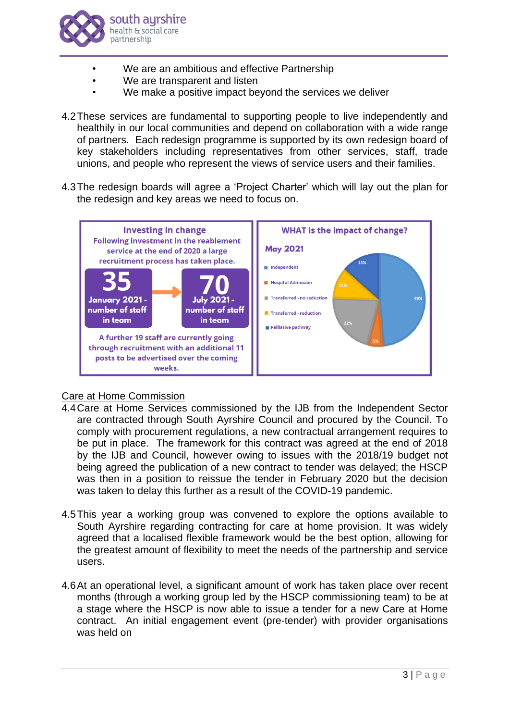

- We are an ambitious and effective Partnership
- We are transparent and listen
- We make a positive impact beyond the services we deliver
- 4.2These services are fundamental to supporting people to live independently and healthily in our local communities and depend on collaboration with a wide range of partners. Each redesign programme is supported by its own redesign board of key stakeholders including representatives from other services, staff, trade unions, and people who represent the views of service users and their families.
- 4.3The redesign boards will agree a 'Project Charter' which will lay out the plan for the redesign and key areas we need to focus on.



# Care at Home Commission

- 4.4Care at Home Services commissioned by the IJB from the Independent Sector are contracted through South Ayrshire Council and procured by the Council. To comply with procurement regulations, a new contractual arrangement requires to be put in place. The framework for this contract was agreed at the end of 2018 by the IJB and Council, however owing to issues with the 2018/19 budget not being agreed the publication of a new contract to tender was delayed; the HSCP was then in a position to reissue the tender in February 2020 but the decision was taken to delay this further as a result of the COVID-19 pandemic.
- 4.5This year a working group was convened to explore the options available to South Ayrshire regarding contracting for care at home provision. It was widely agreed that a localised flexible framework would be the best option, allowing for the greatest amount of flexibility to meet the needs of the partnership and service users.
- 4.6At an operational level, a significant amount of work has taken place over recent months (through a working group led by the HSCP commissioning team) to be at a stage where the HSCP is now able to issue a tender for a new Care at Home contract. An initial engagement event (pre-tender) with provider organisations was held on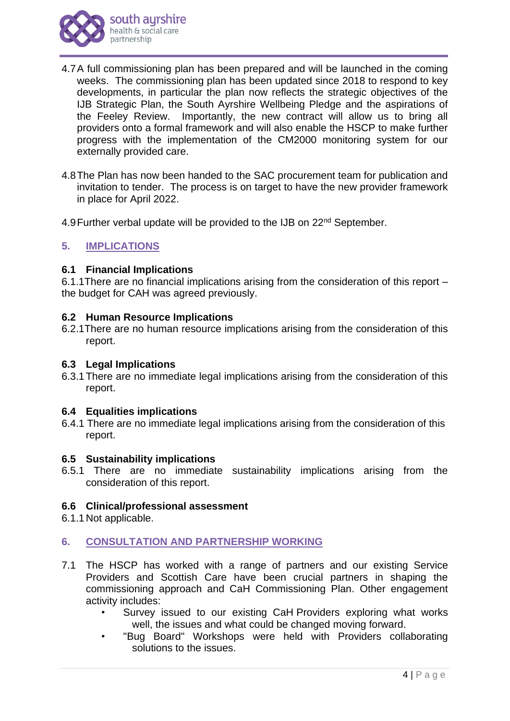

- 4.7A full commissioning plan has been prepared and will be launched in the coming weeks. The commissioning plan has been updated since 2018 to respond to key developments, in particular the plan now reflects the strategic objectives of the IJB Strategic Plan, the South Ayrshire Wellbeing Pledge and the aspirations of the Feeley Review. Importantly, the new contract will allow us to bring all providers onto a formal framework and will also enable the HSCP to make further progress with the implementation of the CM2000 monitoring system for our externally provided care.
- 4.8The Plan has now been handed to the SAC procurement team for publication and invitation to tender. The process is on target to have the new provider framework in place for April 2022.
- 4.9 Further verbal update will be provided to the IJB on 22<sup>nd</sup> September.

# **5. IMPLICATIONS**

#### **6.1 Financial Implications**

6.1.1There are no financial implications arising from the consideration of this report – the budget for CAH was agreed previously.

### **6.2 Human Resource Implications**

6.2.1There are no human resource implications arising from the consideration of this report.

#### **6.3 Legal Implications**

6.3.1There are no immediate legal implications arising from the consideration of this report.

#### **6.4 Equalities implications**

6.4.1 There are no immediate legal implications arising from the consideration of this report.

#### **6.5 Sustainability implications**

6.5.1 There are no immediate sustainability implications arising from the consideration of this report.

#### **6.6 Clinical/professional assessment**

6.1.1 Not applicable.

# **6. CONSULTATION AND PARTNERSHIP WORKING**

- 7.1 The HSCP has worked with a range of partners and our existing Service Providers and Scottish Care have been crucial partners in shaping the commissioning approach and CaH Commissioning Plan. Other engagement activity includes:
	- Survey issued to our existing CaH Providers exploring what works well, the issues and what could be changed moving forward.
	- "Bug Board" Workshops were held with Providers collaborating solutions to the issues.